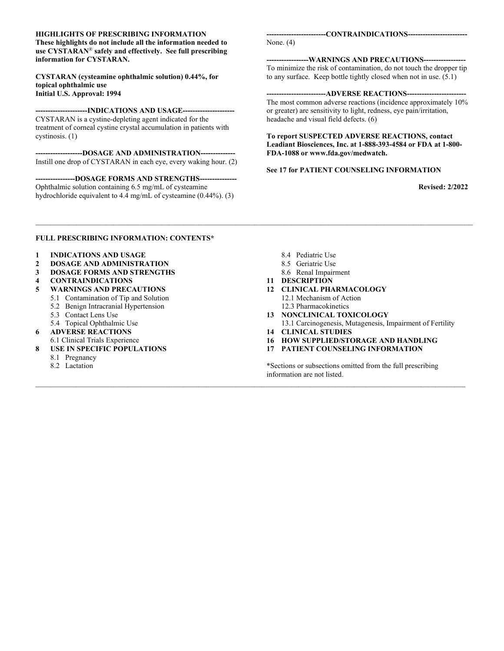#### **HIGHLIGHTS OF PRESCRIBING INFORMATION**

**These highlights do not include all the information needed to use CYSTARAN**® **safely and effectively. See full prescribing information for CYSTARAN.**

#### **CYSTARAN (cysteamine ophthalmic solution) 0.44%, for topical ophthalmic use Initial U.S. Approval: 1994**

#### **---------------------INDICATIONS AND USAGE---------------------**

CYSTARAN is a cystine-depleting agent indicated for the treatment of corneal cystine crystal accumulation in patients with cystinosis. (1)

**-------------------DOSAGE AND ADMINISTRATION--------------** Instill one drop of CYSTARAN in each eye, every waking hour. (2)

**----------------DOSAGE FORMS AND STRENGTHS---------------** Ophthalmic solution containing 6.5 mg/mL of cysteamine hydrochloride equivalent to 4.4 mg/mL of cysteamine (0.44%). (3) **------------------------CONTRAINDICATIONS------------------------**

None. (4)

#### **-----------------WARNINGS AND PRECAUTIONS-----------------**

To minimize the risk of contamination, do not touch the dropper tip to any surface. Keep bottle tightly closed when not in use.  $(5.1)$ 

#### ---ADVERSE REACTIONS--

The most common adverse reactions (incidence approximately 10% or greater) are sensitivity to light, redness, eye pain/irritation, headache and visual field defects. (6)

#### **To report SUSPECTED ADVERSE REACTIONS, contact Leadiant Biosciences, Inc. at 1-888-393-4584 or FDA at 1-800- FDA-1088 or www.fda.gov/medwatch.**

#### **See 17 for PATIENT COUNSELING INFORMATION**

**Revised: 2/2022**

#### **FULL PRESCRIBING INFORMATION: CONTENTS\***

- **1 INDICATIONS AND USAGE**
- **2 DOSAGE AND ADMINISTRATION**
- **3 DOSAGE FORMS AND STRENGTHS**
- **4 CONTRAINDICATIONS**
- **5 WARNINGS AND PRECAUTIONS**
	- 5.1 Contamination of Tip and Solution
	- 5.2 Benign Intracranial Hypertension
	- 5.3 Contact Lens Use
	- 5.4 Topical Ophthalmic Use
- **6 ADVERSE REACTIONS** 6.1 Clinical Trials Experience
- **8 USE IN SPECIFIC POPULATIONS**
	- 8.1 Pregnancy
	- 8.2 Lactation

8.4 Pediatric Use

*\_\_\_\_\_\_\_\_\_\_\_\_\_\_\_\_\_\_\_\_\_\_\_\_\_\_\_\_\_\_\_\_\_\_\_\_\_\_\_\_\_\_\_\_\_\_\_\_\_\_\_\_\_\_\_\_\_\_\_\_\_\_\_\_\_\_\_\_\_\_\_\_\_\_\_\_\_\_\_\_\_\_\_\_\_\_\_\_\_\_\_\_\_\_\_\_\_\_\_\_\_\_\_\_\_\_\_\_\_\_\_\_\_\_\_\_\_\_*

*\_\_\_\_\_\_\_\_\_\_\_\_\_\_\_\_\_\_\_\_\_\_\_\_\_\_\_\_\_\_\_\_\_\_\_\_\_\_\_\_\_\_\_\_\_\_\_\_\_\_\_\_\_\_\_\_\_\_\_\_\_\_\_\_\_\_\_\_\_\_\_\_\_\_\_\_\_\_\_\_\_\_\_\_\_\_\_\_\_\_\_\_\_\_\_\_\_\_\_\_\_\_\_\_\_\_\_\_\_\_\_\_\_\_\_\_*

- 8.5 Geriatric Use
- 8.6 Renal Impairment
- **11 DESCRIPTION**
- **12 CLINICAL PHARMACOLOGY** 12.1 Mechanism of Action
	- 12.3 Pharmacokinetics
- **13 NONCLINICAL TOXICOLOGY** 13.1 Carcinogenesis, Mutagenesis, Impairment of Fertility
- **14 CLINICAL STUDIES**
- **16 HOW SUPPLIED/STORAGE AND HANDLING**
- **17 PATIENT COUNSELING INFORMATION**

\*Sections or subsections omitted from the full prescribing information are not listed.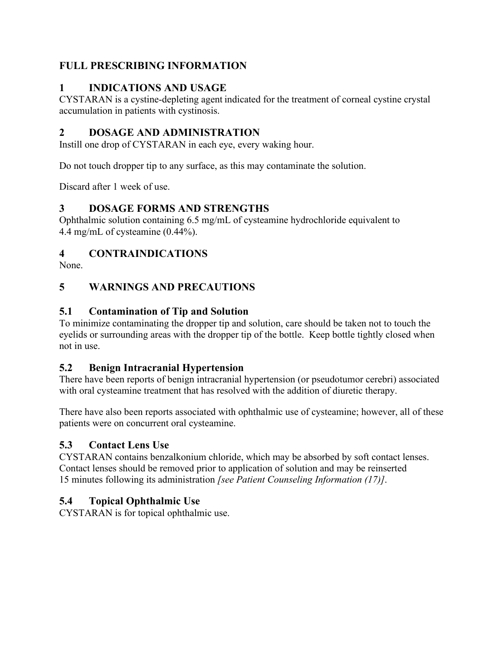# **FULL PRESCRIBING INFORMATION**

# **1 INDICATIONS AND USAGE**

CYSTARAN is a cystine-depleting agent indicated for the treatment of corneal cystine crystal accumulation in patients with cystinosis.

# **2 DOSAGE AND ADMINISTRATION**

Instill one drop of CYSTARAN in each eye, every waking hour.

Do not touch dropper tip to any surface, as this may contaminate the solution.

Discard after 1 week of use.

## **3 DOSAGE FORMS AND STRENGTHS**

Ophthalmic solution containing 6.5 mg/mL of cysteamine hydrochloride equivalent to 4.4 mg/mL of cysteamine (0.44%).

## **4 CONTRAINDICATIONS**

None.

# **5 WARNINGS AND PRECAUTIONS**

### **5.1 Contamination of Tip and Solution**

To minimize contaminating the dropper tip and solution, care should be taken not to touch the eyelids or surrounding areas with the dropper tip of the bottle. Keep bottle tightly closed when not in use.

## **5.2 Benign Intracranial Hypertension**

There have been reports of benign intracranial hypertension (or pseudotumor cerebri) associated with oral cysteamine treatment that has resolved with the addition of diuretic therapy.

There have also been reports associated with ophthalmic use of cysteamine; however, all of these patients were on concurrent oral cysteamine.

## **5.3 Contact Lens Use**

CYSTARAN contains benzalkonium chloride, which may be absorbed by soft contact lenses. Contact lenses should be removed prior to application of solution and may be reinserted 15 minutes following its administration *[see Patient Counseling Information (17)]*.

## **5.4 Topical Ophthalmic Use**

CYSTARAN is for topical ophthalmic use.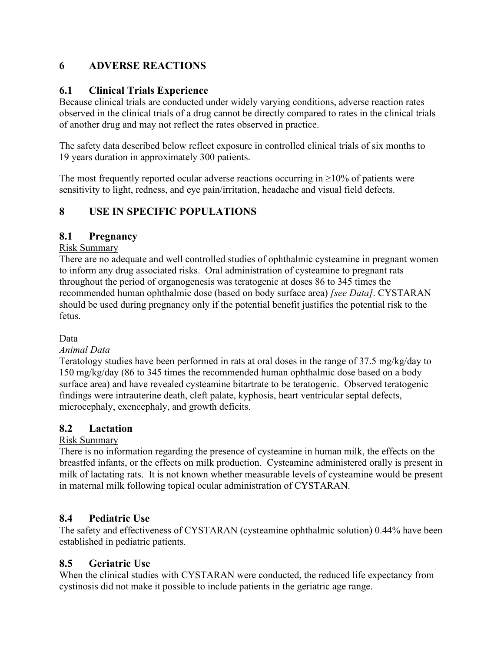### **6 ADVERSE REACTIONS**

### **6.1 Clinical Trials Experience**

Because clinical trials are conducted under widely varying conditions, adverse reaction rates observed in the clinical trials of a drug cannot be directly compared to rates in the clinical trials of another drug and may not reflect the rates observed in practice.

The safety data described below reflect exposure in controlled clinical trials of six months to 19 years duration in approximately 300 patients.

The most frequently reported ocular adverse reactions occurring in  $\geq$ 10% of patients were sensitivity to light, redness, and eye pain/irritation, headache and visual field defects.

## **8 USE IN SPECIFIC POPULATIONS**

### **8.1 Pregnancy**

### Risk Summary

There are no adequate and well controlled studies of ophthalmic cysteamine in pregnant women to inform any drug associated risks. Oral administration of cysteamine to pregnant rats throughout the period of organogenesis was teratogenic at doses 86 to 345 times the recommended human ophthalmic dose (based on body surface area) *[see Data]*. CYSTARAN should be used during pregnancy only if the potential benefit justifies the potential risk to the fetus.

### Data

### *Animal Data*

Teratology studies have been performed in rats at oral doses in the range of 37.5 mg/kg/day to 150 mg/kg/day (86 to 345 times the recommended human ophthalmic dose based on a body surface area) and have revealed cysteamine bitartrate to be teratogenic. Observed teratogenic findings were intrauterine death, cleft palate, kyphosis, heart ventricular septal defects, microcephaly, exencephaly, and growth deficits.

### **8.2 Lactation**

### Risk Summary

There is no information regarding the presence of cysteamine in human milk, the effects on the breastfed infants, or the effects on milk production. Cysteamine administered orally is present in milk of lactating rats. It is not known whether measurable levels of cysteamine would be present in maternal milk following topical ocular administration of CYSTARAN.

### **8.4 Pediatric Use**

The safety and effectiveness of CYSTARAN (cysteamine ophthalmic solution) 0.44% have been established in pediatric patients.

### **8.5 Geriatric Use**

When the clinical studies with CYSTARAN were conducted, the reduced life expectancy from cystinosis did not make it possible to include patients in the geriatric age range.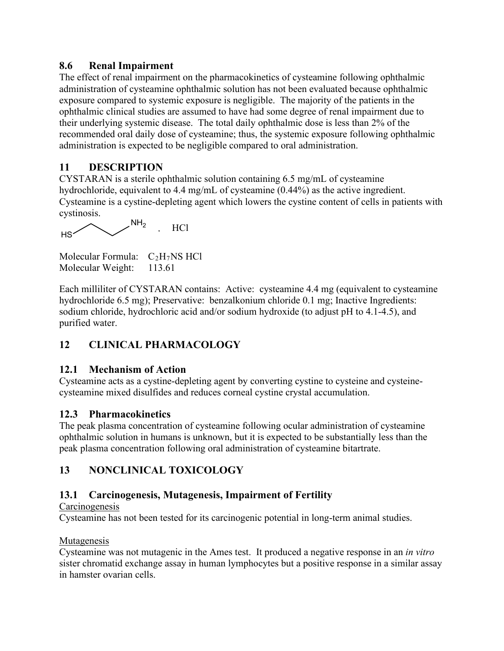### **8.6 Renal Impairment**

The effect of renal impairment on the pharmacokinetics of cysteamine following ophthalmic administration of cysteamine ophthalmic solution has not been evaluated because ophthalmic exposure compared to systemic exposure is negligible. The majority of the patients in the ophthalmic clinical studies are assumed to have had some degree of renal impairment due to their underlying systemic disease. The total daily ophthalmic dose is less than 2% of the recommended oral daily dose of cysteamine; thus, the systemic exposure following ophthalmic administration is expected to be negligible compared to oral administration.

# **11 DESCRIPTION**

CYSTARAN is a sterile ophthalmic solution containing 6.5 mg/mL of cysteamine hydrochloride, equivalent to 4.4 mg/mL of cysteamine (0.44%) as the active ingredient. Cysteamine is a cystine-depleting agent which lowers the cystine content of cells in patients with cystinosis.

 $HS<sub>2</sub>$  $H<sub>2</sub>$  HCl

```
Molecular Formula: C<sub>2</sub>H<sub>7</sub>NS HCl
Molecular Weight: 113.61
```
Each milliliter of CYSTARAN contains: Active: cysteamine 4.4 mg (equivalent to cysteamine hydrochloride 6.5 mg); Preservative: benzalkonium chloride 0.1 mg; Inactive Ingredients: sodium chloride, hydrochloric acid and/or sodium hydroxide (to adjust pH to 4.1-4.5), and purified water.

# **12 CLINICAL PHARMACOLOGY**

## **12.1 Mechanism of Action**

Cysteamine acts as a cystine-depleting agent by converting cystine to cysteine and cysteinecysteamine mixed disulfides and reduces corneal cystine crystal accumulation.

## **12.3 Pharmacokinetics**

The peak plasma concentration of cysteamine following ocular administration of cysteamine ophthalmic solution in humans is unknown, but it is expected to be substantially less than the peak plasma concentration following oral administration of cysteamine bitartrate.

# **13 NONCLINICAL TOXICOLOGY**

# **13.1 Carcinogenesis, Mutagenesis, Impairment of Fertility**

### **Carcinogenesis**

Cysteamine has not been tested for its carcinogenic potential in long-term animal studies.

### Mutagenesis

Cysteamine was not mutagenic in the Ames test. It produced a negative response in an *in vitro* sister chromatid exchange assay in human lymphocytes but a positive response in a similar assay in hamster ovarian cells.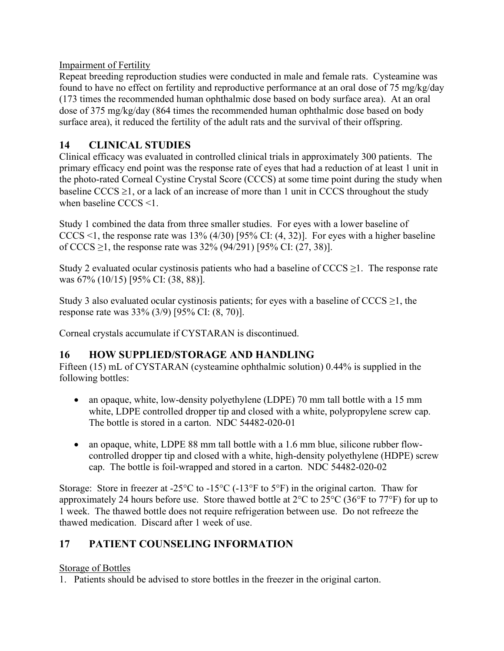Impairment of Fertility

Repeat breeding reproduction studies were conducted in male and female rats. Cysteamine was found to have no effect on fertility and reproductive performance at an oral dose of 75 mg/kg/day (173 times the recommended human ophthalmic dose based on body surface area). At an oral dose of 375 mg/kg/day (864 times the recommended human ophthalmic dose based on body surface area), it reduced the fertility of the adult rats and the survival of their offspring.

# **14 CLINICAL STUDIES**

Clinical efficacy was evaluated in controlled clinical trials in approximately 300 patients. The primary efficacy end point was the response rate of eyes that had a reduction of at least 1 unit in the photo-rated Corneal Cystine Crystal Score (CCCS) at some time point during the study when baseline  $\text{CCCS} \geq 1$ , or a lack of an increase of more than 1 unit in CCCS throughout the study when baseline CCCS <1.

Study 1 combined the data from three smaller studies. For eyes with a lower baseline of CCCS <1, the response rate was  $13\%$  (4/30) [95% CI: (4, 32)]. For eyes with a higher baseline of CCCS ≥1, the response rate was  $32\%$  (94/291) [95% CI: (27, 38)].

Study 2 evaluated ocular cystinosis patients who had a baseline of  $CCCS \geq 1$ . The response rate was 67% (10/15) [95% CI: (38, 88)].

Study 3 also evaluated ocular cystinosis patients; for eyes with a baseline of  $\text{CCCS} \geq 1$ , the response rate was 33% (3/9) [95% CI: (8, 70)].

Corneal crystals accumulate if CYSTARAN is discontinued.

## **16 HOW SUPPLIED/STORAGE AND HANDLING**

Fifteen (15) mL of CYSTARAN (cysteamine ophthalmic solution) 0.44% is supplied in the following bottles:

- an opaque, white, low-density polyethylene (LDPE) 70 mm tall bottle with a 15 mm white, LDPE controlled dropper tip and closed with a white, polypropylene screw cap. The bottle is stored in a carton. NDC 54482-020-01
- an opaque, white, LDPE 88 mm tall bottle with a 1.6 mm blue, silicone rubber flowcontrolled dropper tip and closed with a white, high-density polyethylene (HDPE) screw cap. The bottle is foil-wrapped and stored in a carton. NDC 54482-020-02

Storage: Store in freezer at -25 $\rm{°C}$  to -15 $\rm{°C}$  (-13 $\rm{°F}$  to 5 $\rm{°F}$ ) in the original carton. Thaw for approximately 24 hours before use. Store thawed bottle at 2°C to 25°C (36°F to 77°F) for up to 1 week. The thawed bottle does not require refrigeration between use. Do not refreeze the thawed medication. Discard after 1 week of use.

# **17 PATIENT COUNSELING INFORMATION**

### Storage of Bottles

1. Patients should be advised to store bottles in the freezer in the original carton.